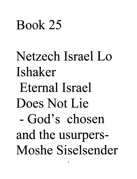### Book 25

# Netzech Israel Lo Ishaker Eternal Israel Does Not Lie - God's chosen and the usurpers-Moshe Siselsender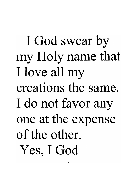I God swear by my Holy name that I love all my creations the same. I do not favor any one at the expense of the other. Yes, I God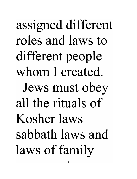assigned different roles and laws to different people whom I created. Jews must obey all the rituals of Kosher laws sabbath laws and laws of family

3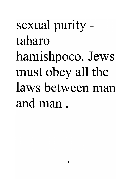# sexual purity taharo hamishpoco. Jews must obey all the laws between man and man.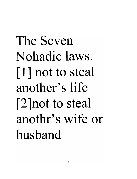# The Seven Nohadic laws. [1] not to steal another's life [2 ]not to steal anothr's wife or husband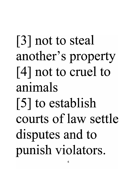# [3] not to steal another's property [4] not to cruel to animals [5] to establish courts of law settle disputes and to punish violators.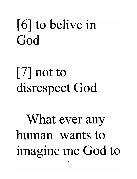### [6] to belive in God

### [7] not to disrespect God

# What ever any human wants to imagine me God to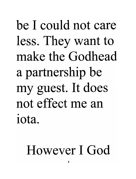be I could not care less. They want to make the Godhead a partnership be my guest. It does not effect me an iota.

### However I God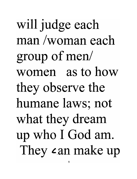will judge each man /woman each group of men/ women as to how they observe the humane laws; not what they dream up who I God am. They can make up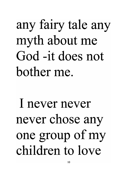### any fairy tale any myth about me God -it does not bother me.

# I never never never chose any one group of my children to love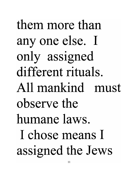them more than anyone else. I only assigned different rituals. All mankind must observe the humane laws. I chose means I assigned the Jews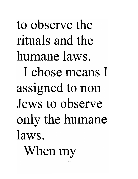to observe the rituals and the humane laws. I chose means I assigned to non Jews to observe only the humane laws. When my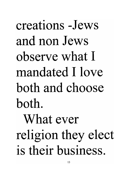creations -Jews and non Jews observe what I mandated I love both and choose both. What ever religion they elect is their business.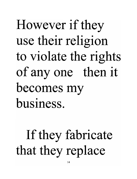# However if they use their religion to violate the rights of anyone then it becomes my business.

### If they fabricate that they replace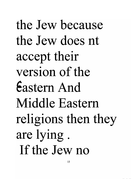the Jew because the Jew does nt accept their version of the Eastern And Middle Eastern religions then they are lying. If the Jew no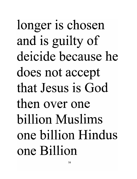longer is chosen and is guilty of deicide because he does not accept that Jesus is God then over one billion Muslims one billion Hindus one Billion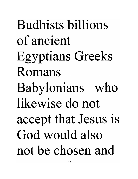Budhists billions of ancient Egyptians Greeks Romans Babylonians who likewise do not accept that Jesus is God would also not be chosen and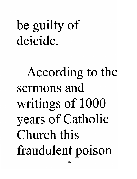### be guilty of deicide.

# According to the sermons and writings of 1000 years of Catholic Church this fraudulent poison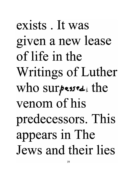# exists . It was given a new lease of life in the Writings of Luther who surpesses. the venom of his predecessors. This appears in The Jews and their lies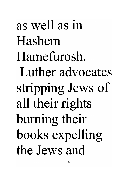as well as in Hashem Hamefurosh. Luther advocates stripping Jews of all their rights burning their books expelling the Jews and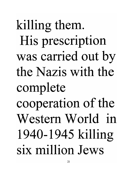killing them. His prescription was carried out by the Nazis with the complete cooperation of the Western World in 1940-1945 killing six million Jews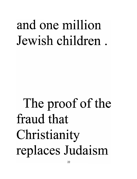### and one million Jewish children .

# The proof of the fraud that Christianity replaces Judaism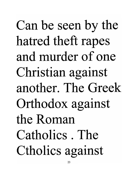Can be seen by the hatred theft rapes and murder of one Christian against another. The Greek Orthodox against the Roman Catholics . The Ctholics against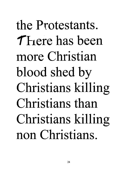the Protestants. **T** Fiere has been more Christian blood shed by Christians killing Christians than Christians killing non Christians.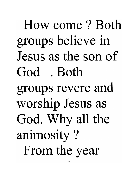How come? Both groups believe in Jesus as the son of God . Both groups revere and worship Jesus as God. Why all the animosity? From the year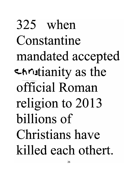325 when Constantine mandated accepted envistianity as the official Roman religion to 2013 billions of Christians have killed each othert.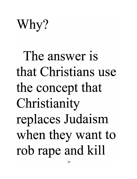Why?

# The answer is that Christians use the concept that Christianity replaces Judaism when they want to rob rape and kill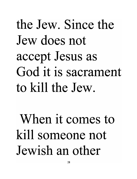# the Jew. Since the Jew does not accept Jesus as God it is sacrament to kill the Jew.

# When it comes to kill someone not Jewish an other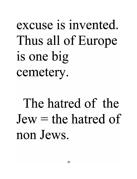### excuse is invented. Thus all of Europe is one big cemetery.

### The hatred of the  $Jew =$  the hatred of non Jews.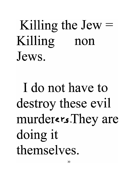### Killing the  $Jew =$ Killing non Jews.

I do not have to destroy these evil murderers.They are doing it themselves.